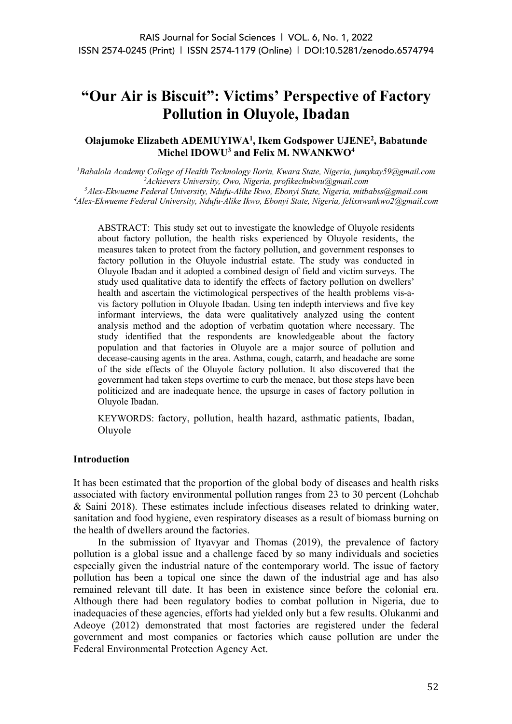# **"Our Air is Biscuit": Victims' Perspective of Factory Pollution in Oluyole, Ibadan**

## **Olajumoke Elizabeth ADEMUYIWA<sup>1</sup> , Ikem Godspower UJENE<sup>2</sup> , Babatunde Michel IDOWU<sup>3</sup> and Felix M. NWANKWO<sup>4</sup>**

*Babalola Academy College of Health Technology Ilorin, Kwara State, Nigeria, jumykay59@gmail.com Achievers University, Owo, Nigeria, profikechukwu@gmail.com Alex-Ekwueme Federal University, Ndufu-Alike Ikwo, Ebonyi State, Nigeria, mitbabss@gmail.com Alex-Ekwueme Federal University, Ndufu-Alike Ikwo, Ebonyi State, Nigeria, felixnwankwo2@gmail.com*

ABSTRACT: This study set out to investigate the knowledge of Oluyole residents about factory pollution, the health risks experienced by Oluyole residents, the measures taken to protect from the factory pollution, and government responses to factory pollution in the Oluyole industrial estate. The study was conducted in Oluyole Ibadan and it adopted a combined design of field and victim surveys. The study used qualitative data to identify the effects of factory pollution on dwellers' health and ascertain the victimological perspectives of the health problems vis-avis factory pollution in Oluyole Ibadan. Using ten indepth interviews and five key informant interviews, the data were qualitatively analyzed using the content analysis method and the adoption of verbatim quotation where necessary. The study identified that the respondents are knowledgeable about the factory population and that factories in Oluyole are a major source of pollution and decease-causing agents in the area. Asthma, cough, catarrh, and headache are some of the side effects of the Oluyole factory pollution. It also discovered that the government had taken steps overtime to curb the menace, but those steps have been politicized and are inadequate hence, the upsurge in cases of factory pollution in Oluyole Ibadan.

KEYWORDS: factory, pollution, health hazard, asthmatic patients, Ibadan, Oluyole

## **Introduction**

It has been estimated that the proportion of the global body of diseases and health risks associated with factory environmental pollution ranges from 23 to 30 percent (Lohchab & Saini 2018). These estimates include infectious diseases related to drinking water, sanitation and food hygiene, even respiratory diseases as a result of biomass burning on the health of dwellers around the factories.

In the submission of Ityavyar and Thomas (2019), the prevalence of factory pollution is a global issue and a challenge faced by so many individuals and societies especially given the industrial nature of the contemporary world. The issue of factory pollution has been a topical one since the dawn of the industrial age and has also remained relevant till date. It has been in existence since before the colonial era. Although there had been regulatory bodies to combat pollution in Nigeria, due to inadequacies of these agencies, efforts had yielded only but a few results. Olukanmi and Adeoye (2012) demonstrated that most factories are registered under the federal government and most companies or factories which cause pollution are under the Federal Environmental Protection Agency Act.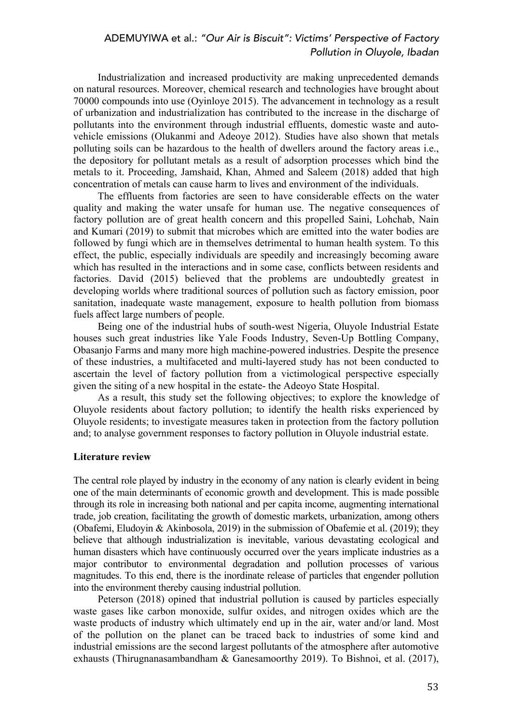Industrialization and increased productivity are making unprecedented demands on natural resources. Moreover, chemical research and technologies have brought about 70000 compounds into use (Oyinloye 2015). The advancement in technology as a result of urbanization and industrialization has contributed to the increase in the discharge of pollutants into the environment through industrial effluents, domestic waste and autovehicle emissions (Olukanmi and Adeoye 2012). Studies have also shown that metals polluting soils can be hazardous to the health of dwellers around the factory areas i.e., the depository for pollutant metals as a result of adsorption processes which bind the metals to it. Proceeding, Jamshaid, Khan, Ahmed and Saleem (2018) added that high concentration of metals can cause harm to lives and environment of the individuals.

The effluents from factories are seen to have considerable effects on the water quality and making the water unsafe for human use. The negative consequences of factory pollution are of great health concern and this propelled Saini, Lohchab, Nain and Kumari (2019) to submit that microbes which are emitted into the water bodies are followed by fungi which are in themselves detrimental to human health system. To this effect, the public, especially individuals are speedily and increasingly becoming aware which has resulted in the interactions and in some case, conflicts between residents and factories. David (2015) believed that the problems are undoubtedly greatest in developing worlds where traditional sources of pollution such as factory emission, poor sanitation, inadequate waste management, exposure to health pollution from biomass fuels affect large numbers of people.

Being one of the industrial hubs of south-west Nigeria, Oluyole Industrial Estate houses such great industries like Yale Foods Industry, Seven-Up Bottling Company, Obasanjo Farms and many more high machine-powered industries. Despite the presence of these industries, a multifaceted and multi-layered study has not been conducted to ascertain the level of factory pollution from a victimological perspective especially given the siting of a new hospital in the estate- the Adeoyo State Hospital.

As a result, this study set the following objectives; to explore the knowledge of Oluyole residents about factory pollution; to identify the health risks experienced by Oluyole residents; to investigate measures taken in protection from the factory pollution and; to analyse government responses to factory pollution in Oluyole industrial estate.

#### **Literature review**

The central role played by industry in the economy of any nation is clearly evident in being one of the main determinants of economic growth and development. This is made possible through its role in increasing both national and per capita income, augmenting international trade, job creation, facilitating the growth of domestic markets, urbanization, among others (Obafemi, Eludoyin & Akinbosola, 2019) in the submission of Obafemie et al. (2019); they believe that although industrialization is inevitable, various devastating ecological and human disasters which have continuously occurred over the years implicate industries as a major contributor to environmental degradation and pollution processes of various magnitudes. To this end, there is the inordinate release of particles that engender pollution into the environment thereby causing industrial pollution.

Peterson (2018) opined that industrial pollution is caused by particles especially waste gases like carbon monoxide, sulfur oxides, and nitrogen oxides which are the waste products of industry which ultimately end up in the air, water and/or land. Most of the pollution on the planet can be traced back to industries of some kind and industrial emissions are the second largest pollutants of the atmosphere after automotive exhausts (Thirugnanasambandham & Ganesamoorthy 2019). To Bishnoi, et al. (2017),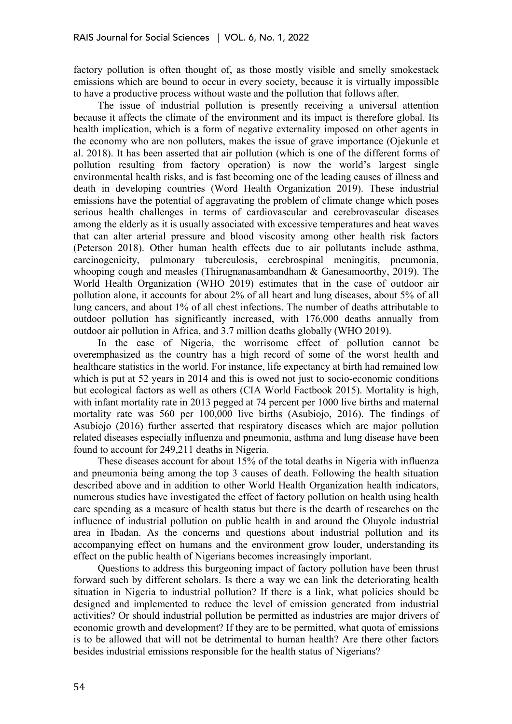factory pollution is often thought of, as those mostly visible and smelly smokestack emissions which are bound to occur in every society, because it is virtually impossible to have a productive process without waste and the pollution that follows after.

The issue of industrial pollution is presently receiving a universal attention because it affects the climate of the environment and its impact is therefore global. Its health implication, which is a form of negative externality imposed on other agents in the economy who are non polluters, makes the issue of grave importance (Ojekunle et al. 2018). It has been asserted that air pollution (which is one of the different forms of pollution resulting from factory operation) is now the world's largest single environmental health risks, and is fast becoming one of the leading causes of illness and death in developing countries (Word Health Organization 2019). These industrial emissions have the potential of aggravating the problem of climate change which poses serious health challenges in terms of cardiovascular and cerebrovascular diseases among the elderly as it is usually associated with excessive temperatures and heat waves that can alter arterial pressure and blood viscosity among other health risk factors (Peterson 2018). Other human health effects due to air pollutants include asthma, carcinogenicity, pulmonary tuberculosis, cerebrospinal meningitis, pneumonia, whooping cough and measles (Thirugnanasambandham & Ganesamoorthy, 2019). The World Health Organization (WHO 2019) estimates that in the case of outdoor air pollution alone, it accounts for about 2% of all heart and lung diseases, about 5% of all lung cancers, and about 1% of all chest infections. The number of deaths attributable to outdoor pollution has significantly increased, with 176,000 deaths annually from outdoor air pollution in Africa, and 3.7 million deaths globally (WHO 2019).

In the case of Nigeria, the worrisome effect of pollution cannot be overemphasized as the country has a high record of some of the worst health and healthcare statistics in the world. For instance, life expectancy at birth had remained low which is put at 52 years in 2014 and this is owed not just to socio-economic conditions but ecological factors as well as others (CIA World Factbook 2015). Mortality is high, with infant mortality rate in 2013 pegged at 74 percent per 1000 live births and maternal mortality rate was 560 per 100,000 live births (Asubiojo, 2016). The findings of Asubiojo (2016) further asserted that respiratory diseases which are major pollution related diseases especially influenza and pneumonia, asthma and lung disease have been found to account for 249,211 deaths in Nigeria.

These diseases account for about 15% of the total deaths in Nigeria with influenza and pneumonia being among the top 3 causes of death. Following the health situation described above and in addition to other World Health Organization health indicators, numerous studies have investigated the effect of factory pollution on health using health care spending as a measure of health status but there is the dearth of researches on the influence of industrial pollution on public health in and around the Oluyole industrial area in Ibadan. As the concerns and questions about industrial pollution and its accompanying effect on humans and the environment grow louder, understanding its effect on the public health of Nigerians becomes increasingly important.

Questions to address this burgeoning impact of factory pollution have been thrust forward such by different scholars. Is there a way we can link the deteriorating health situation in Nigeria to industrial pollution? If there is a link, what policies should be designed and implemented to reduce the level of emission generated from industrial activities? Or should industrial pollution be permitted as industries are major drivers of economic growth and development? If they are to be permitted, what quota of emissions is to be allowed that will not be detrimental to human health? Are there other factors besides industrial emissions responsible for the health status of Nigerians?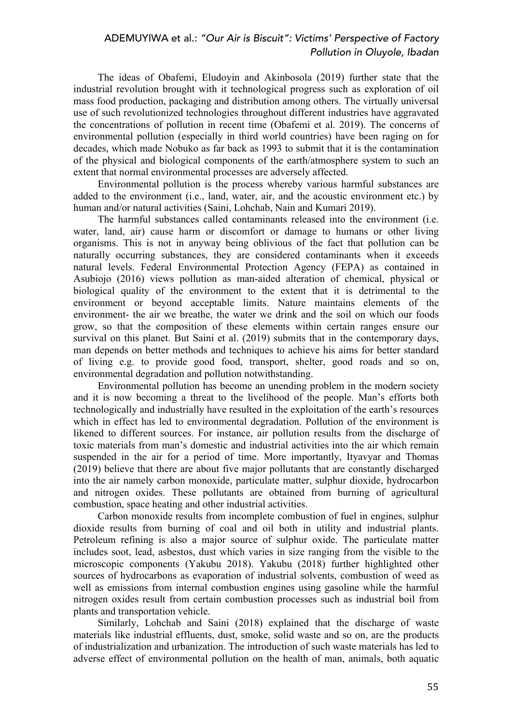The ideas of Obafemi, Eludoyin and Akinbosola (2019) further state that the industrial revolution brought with it technological progress such as exploration of oil mass food production, packaging and distribution among others. The virtually universal use of such revolutionized technologies throughout different industries have aggravated the concentrations of pollution in recent time (Obafemi et al. 2019). The concerns of environmental pollution (especially in third world countries) have been raging on for decades, which made Nobuko as far back as 1993 to submit that it is the contamination of the physical and biological components of the earth/atmosphere system to such an extent that normal environmental processes are adversely affected.

Environmental pollution is the process whereby various harmful substances are added to the environment (i.e., land, water, air, and the acoustic environment etc.) by human and/or natural activities (Saini, Lohchab, Nain and Kumari 2019).

The harmful substances called contaminants released into the environment (i.e. water, land, air) cause harm or discomfort or damage to humans or other living organisms. This is not in anyway being oblivious of the fact that pollution can be naturally occurring substances, they are considered contaminants when it exceeds natural levels. Federal Environmental Protection Agency (FEPA) as contained in Asubiojo (2016) views pollution as man-aided alteration of chemical, physical or biological quality of the environment to the extent that it is detrimental to the environment or beyond acceptable limits. Nature maintains elements of the environment- the air we breathe, the water we drink and the soil on which our foods grow, so that the composition of these elements within certain ranges ensure our survival on this planet. But Saini et al. (2019) submits that in the contemporary days, man depends on better methods and techniques to achieve his aims for better standard of living e.g. to provide good food, transport, shelter, good roads and so on, environmental degradation and pollution notwithstanding.

Environmental pollution has become an unending problem in the modern society and it is now becoming a threat to the livelihood of the people. Man's efforts both technologically and industrially have resulted in the exploitation of the earth's resources which in effect has led to environmental degradation. Pollution of the environment is likened to different sources. For instance, air pollution results from the discharge of toxic materials from man's domestic and industrial activities into the air which remain suspended in the air for a period of time. More importantly, Ityavyar and Thomas (2019) believe that there are about five major pollutants that are constantly discharged into the air namely carbon monoxide, particulate matter, sulphur dioxide, hydrocarbon and nitrogen oxides. These pollutants are obtained from burning of agricultural combustion, space heating and other industrial activities.

Carbon monoxide results from incomplete combustion of fuel in engines, sulphur dioxide results from burning of coal and oil both in utility and industrial plants. Petroleum refining is also a major source of sulphur oxide. The particulate matter includes soot, lead, asbestos, dust which varies in size ranging from the visible to the microscopic components (Yakubu 2018). Yakubu (2018) further highlighted other sources of hydrocarbons as evaporation of industrial solvents, combustion of weed as well as emissions from internal combustion engines using gasoline while the harmful nitrogen oxides result from certain combustion processes such as industrial boil from plants and transportation vehicle.

Similarly, Lohchab and Saini (2018) explained that the discharge of waste materials like industrial effluents, dust, smoke, solid waste and so on, are the products of industrialization and urbanization. The introduction of such waste materials has led to adverse effect of environmental pollution on the health of man, animals, both aquatic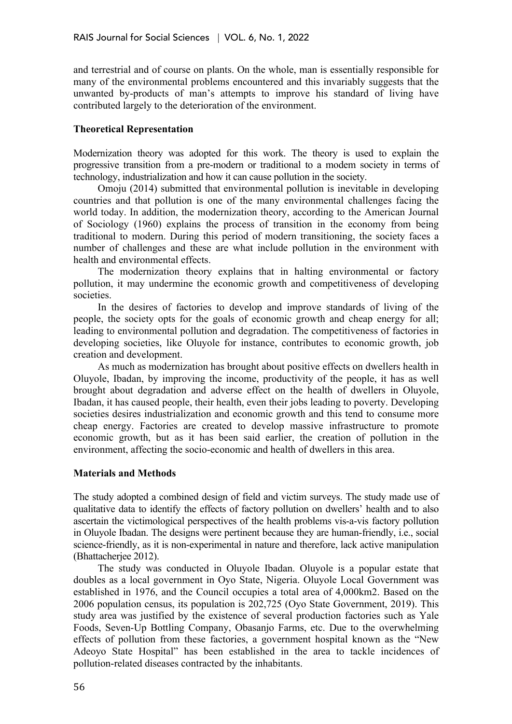and terrestrial and of course on plants. On the whole, man is essentially responsible for many of the environmental problems encountered and this invariably suggests that the unwanted by-products of man's attempts to improve his standard of living have contributed largely to the deterioration of the environment.

## **Theoretical Representation**

Modernization theory was adopted for this work. The theory is used to explain the progressive transition from a pre-modern or traditional to a modem society in terms of technology, industrialization and how it can cause pollution in the society.

Omoju (2014) submitted that environmental pollution is inevitable in developing countries and that pollution is one of the many environmental challenges facing the world today. In addition, the modernization theory, according to the American Journal of Sociology (1960) explains the process of transition in the economy from being traditional to modern. During this period of modern transitioning, the society faces a number of challenges and these are what include pollution in the environment with health and environmental effects.

The modernization theory explains that in halting environmental or factory pollution, it may undermine the economic growth and competitiveness of developing societies.

In the desires of factories to develop and improve standards of living of the people, the society opts for the goals of economic growth and cheap energy for all; leading to environmental pollution and degradation. The competitiveness of factories in developing societies, like Oluyole for instance, contributes to economic growth, job creation and development.

As much as modernization has brought about positive effects on dwellers health in Oluyole, Ibadan, by improving the income, productivity of the people, it has as well brought about degradation and adverse effect on the health of dwellers in Oluyole, Ibadan, it has caused people, their health, even their jobs leading to poverty. Developing societies desires industrialization and economic growth and this tend to consume more cheap energy. Factories are created to develop massive infrastructure to promote economic growth, but as it has been said earlier, the creation of pollution in the environment, affecting the socio-economic and health of dwellers in this area.

## **Materials and Methods**

The study adopted a combined design of field and victim surveys. The study made use of qualitative data to identify the effects of factory pollution on dwellers' health and to also ascertain the victimological perspectives of the health problems vis-a-vis factory pollution in Oluyole Ibadan. The designs were pertinent because they are human-friendly, i.e., social science-friendly, as it is non-experimental in nature and therefore, lack active manipulation (Bhattacherjee 2012).

The study was conducted in Oluyole Ibadan. Oluyole is a popular estate that doubles as a local government in Oyo State, Nigeria. Oluyole Local Government was established in 1976, and the Council occupies a total area of 4,000km2. Based on the 2006 population census, its population is 202,725 (Oyo State Government, 2019). This study area was justified by the existence of several production factories such as Yale Foods, Seven-Up Bottling Company, Obasanjo Farms, etc. Due to the overwhelming effects of pollution from these factories, a government hospital known as the "New Adeoyo State Hospital" has been established in the area to tackle incidences of pollution-related diseases contracted by the inhabitants.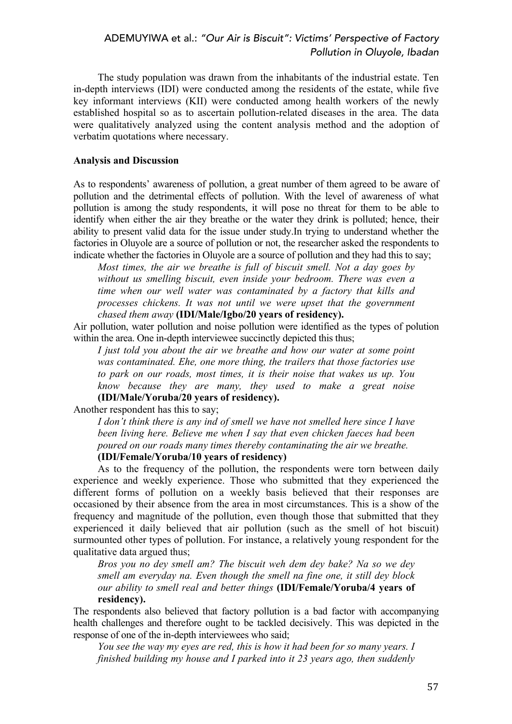The study population was drawn from the inhabitants of the industrial estate. Ten in-depth interviews (IDI) were conducted among the residents of the estate, while five key informant interviews (KII) were conducted among health workers of the newly established hospital so as to ascertain pollution-related diseases in the area. The data were qualitatively analyzed using the content analysis method and the adoption of verbatim quotations where necessary.

#### **Analysis and Discussion**

As to respondents' awareness of pollution, a great number of them agreed to be aware of pollution and the detrimental effects of pollution. With the level of awareness of what pollution is among the study respondents, it will pose no threat for them to be able to identify when either the air they breathe or the water they drink is polluted; hence, their ability to present valid data for the issue under study.In trying to understand whether the factories in Oluyole are a source of pollution or not, the researcher asked the respondents to indicate whether the factories in Oluyole are a source of pollution and they had this to say;

*Most times, the air we breathe is full of biscuit smell. Not a day goes by without us smelling biscuit, even inside your bedroom. There was even a time when our well water was contaminated by a factory that kills and processes chickens. It was not until we were upset that the government chased them away* **(IDI/Male/Igbo/20 years of residency).**

Air pollution, water pollution and noise pollution were identified as the types of polution within the area. One in-depth interviewee succinctly depicted this thus;

*I just told you about the air we breathe and how our water at some point was contaminated. Ehe, one more thing, the trailers that those factories use to park on our roads, most times, it is their noise that wakes us up. You know because they are many, they used to make a great noise* **(IDI/Male/Yoruba/20 years of residency).**

Another respondent has this to say;

*I don't think there is any ind of smell we have not smelled here since I have been living here. Believe me when I say that even chicken faeces had been poured on our roads many times thereby contaminating the air we breathe.*

## **(IDI/Female/Yoruba/10 years of residency)**

As to the frequency of the pollution, the respondents were torn between daily experience and weekly experience. Those who submitted that they experienced the different forms of pollution on a weekly basis believed that their responses are occasioned by their absence from the area in most circumstances. This is a show of the frequency and magnitude of the pollution, even though those that submitted that they experienced it daily believed that air pollution (such as the smell of hot biscuit) surmounted other types of pollution. For instance, a relatively young respondent for the qualitative data argued thus;

*Bros you no dey smell am? The biscuit weh dem dey bake? Na so we dey smell am everyday na. Even though the smell na fine one, it still dey block our ability to smell real and better things* **(IDI/Female/Yoruba/4 years of residency).**

The respondents also believed that factory pollution is a bad factor with accompanying health challenges and therefore ought to be tackled decisively. This was depicted in the response of one of the in-depth interviewees who said;

*You see the way my eyes are red, this is how it had been for so many years. I finished building my house and I parked into it 23 years ago, then suddenly*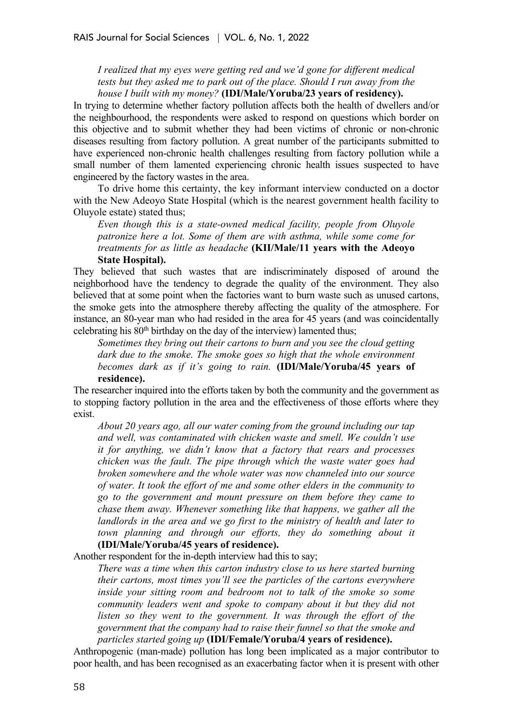*I realized that my eyes were getting red and we'd gone for different medical tests but they asked me to park out of the place. Should I run away from the house I built with my money?* **(IDI/Male/Yoruba/23 years of residency).**

In trying to determine whether factory pollution affects both the health of dwellers and/or the neighbourhood, the respondents were asked to respond on questions which border on this objective and to submit whether they had been victims of chronic or non-chronic diseases resulting from factory pollution. A great number of the participants submitted to have experienced non-chronic health challenges resulting from factory pollution while a small number of them lamented experiencing chronic health issues suspected to have engineered by the factory wastes in the area.

To drive home this certainty, the key informant interview conducted on a doctor with the New Adeoyo State Hospital (which is the nearest government health facility to Oluyole estate) stated thus;

*Even though this is a state-owned medical facility, people from Oluyole patronize here a lot. Some of them are with asthma, while some come for treatments for as little as headache* **(KII/Male/11 years with the Adeoyo State Hospital).**

They believed that such wastes that are indiscriminately disposed of around the neighborhood have the tendency to degrade the quality of the environment. They also believed that at some point when the factories want to burn waste such as unused cartons, the smoke gets into the atmosphere thereby affecting the quality of the atmosphere. For instance, an 80-year man who had resided in the area for 45 years (and was coincidentally celebrating his  $80<sup>th</sup>$  birthday on the day of the interview) lamented thus;

*Sometimes they bring out their cartons to burn and you see the cloud getting dark due to the smoke. The smoke goes so high that the whole environment becomes dark as if it's going to rain.* **(IDI/Male/Yoruba/45 years of residence).**

The researcher inquired into the efforts taken by both the community and the government as to stopping factory pollution in the area and the effectiveness of those efforts where they exist.

*About 20 years ago, all our water coming from the ground including our tap and well, was contaminated with chicken waste and smell. We couldn't use it for anything, we didn't know that a factory that rears and processes chicken was the fault. The pipe through which the waste water goes had broken somewhere and the whole water was now channeled into our source of water. It took the effort of me and some other elders in the community to go to the government and mount pressure on them before they came to chase them away. Whenever something like that happens, we gather all the landlords in the area and we go first to the ministry of health and later to town planning and through our efforts, they do something about it* **(IDI/Male/Yoruba/45 years of residence).**

Another respondent for the in-depth interview had this to say;

*There was a time when this carton industry close to us here started burning their cartons, most times you'll see the particles of the cartons everywhere inside your sitting room and bedroom not to talk of the smoke so some community leaders went and spoke to company about it but they did not*  listen so they went to the government. It was through the effort of the *government that the company had to raise their funnel so that the smoke and particles started going up* **(IDI/Female/Yoruba/4 years of residence).**

Anthropogenic (man-made) pollution has long been implicated as a major contributor to poor health, and has been recognised as an exacerbating factor when it is present with other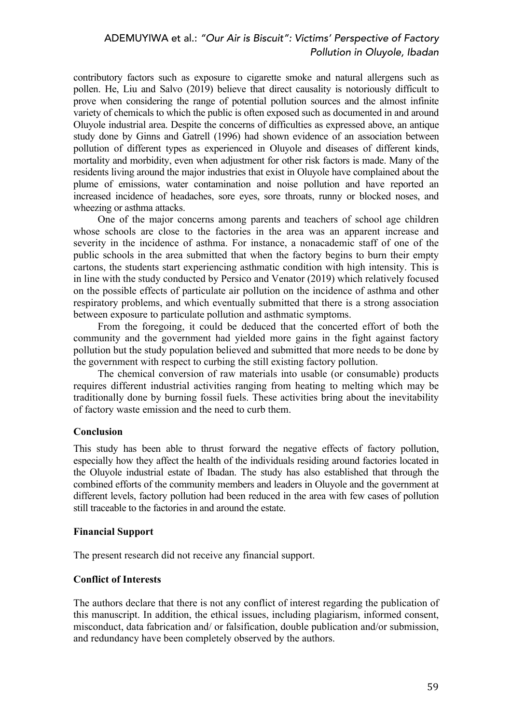contributory factors such as exposure to cigarette smoke and natural allergens such as pollen. He, Liu and Salvo (2019) believe that direct causality is notoriously difficult to prove when considering the range of potential pollution sources and the almost infinite variety of chemicals to which the public is often exposed such as documented in and around Oluyole industrial area. Despite the concerns of difficulties as expressed above, an antique study done by Ginns and Gatrell (1996) had shown evidence of an association between pollution of different types as experienced in Oluyole and diseases of different kinds, mortality and morbidity, even when adjustment for other risk factors is made. Many of the residents living around the major industries that exist in Oluyole have complained about the plume of emissions, water contamination and noise pollution and have reported an increased incidence of headaches, sore eyes, sore throats, runny or blocked noses, and wheezing or asthma attacks.

One of the major concerns among parents and teachers of school age children whose schools are close to the factories in the area was an apparent increase and severity in the incidence of asthma. For instance, a nonacademic staff of one of the public schools in the area submitted that when the factory begins to burn their empty cartons, the students start experiencing asthmatic condition with high intensity. This is in line with the study conducted by Persico and Venator (2019) which relatively focused on the possible effects of particulate air pollution on the incidence of asthma and other respiratory problems, and which eventually submitted that there is a strong association between exposure to particulate pollution and asthmatic symptoms.

From the foregoing, it could be deduced that the concerted effort of both the community and the government had yielded more gains in the fight against factory pollution but the study population believed and submitted that more needs to be done by the government with respect to curbing the still existing factory pollution.

The chemical conversion of raw materials into usable (or consumable) products requires different industrial activities ranging from heating to melting which may be traditionally done by burning fossil fuels. These activities bring about the inevitability of factory waste emission and the need to curb them.

## **Conclusion**

This study has been able to thrust forward the negative effects of factory pollution, especially how they affect the health of the individuals residing around factories located in the Oluyole industrial estate of Ibadan. The study has also established that through the combined efforts of the community members and leaders in Oluyole and the government at different levels, factory pollution had been reduced in the area with few cases of pollution still traceable to the factories in and around the estate.

## **Financial Support**

The present research did not receive any financial support.

## **Conflict of Interests**

The authors declare that there is not any conflict of interest regarding the publication of this manuscript. In addition, the ethical issues, including plagiarism, informed consent, misconduct, data fabrication and/ or falsification, double publication and/or submission, and redundancy have been completely observed by the authors.